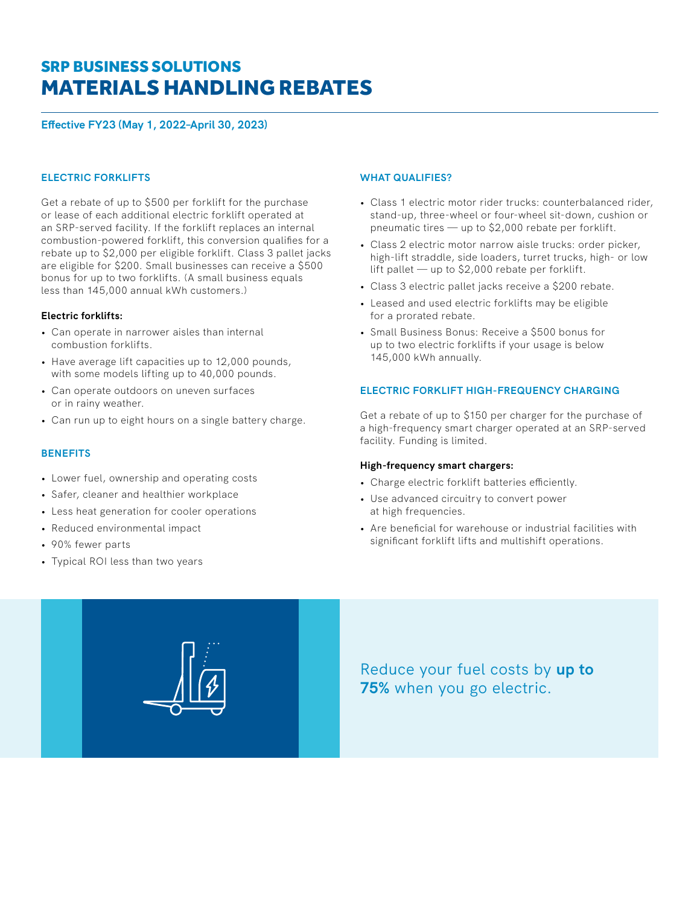# MATERIALS HANDLING REBATES SRP BUSINESS SOLUTIONS

**Effective FY23 (May 1, 2022–April 30, 2023)**

## **ELECTRIC FORKLIFTS**

Get a rebate of up to \$500 per forklift for the purchase or lease of each additional electric forklift operated at an SRP-served facility. If the forklift replaces an internal combustion-powered forklift, this conversion qualifies for a rebate up to \$2,000 per eligible forklift. Class 3 pallet jacks are eligible for \$200. Small businesses can receive a \$500 bonus for up to two forklifts. (A small business equals less than 145,000 annual kWh customers.)

#### **Electric forklifts:**

- Can operate in narrower aisles than internal combustion forklifts.
- Have average lift capacities up to 12,000 pounds, with some models lifting up to 40,000 pounds.
- Can operate outdoors on uneven surfaces or in rainy weather.
- Can run up to eight hours on a single battery charge.

## **BENEFITS**

- Lower fuel, ownership and operating costs
- Safer, cleaner and healthier workplace
- Less heat generation for cooler operations
- Reduced environmental impact
- 90% fewer parts
- Typical ROI less than two years

## **WHAT QUALIFIES?**

- Class 1 electric motor rider trucks: counterbalanced rider, stand-up, three-wheel or four-wheel sit-down, cushion or pneumatic tires — up to \$2,000 rebate per forklift.
- Class 2 electric motor narrow aisle trucks: order picker, high-lift straddle, side loaders, turret trucks, high- or low lift pallet — up to \$2,000 rebate per forklift.
- Class 3 electric pallet jacks receive a \$200 rebate.
- Leased and used electric forklifts may be eligible for a prorated rebate.
- Small Business Bonus: Receive a \$500 bonus for up to two electric forklifts if your usage is below 145,000 kWh annually.

## **ELECTRIC FORKLIFT HIGH-FREQUENCY CHARGING**

Get a rebate of up to \$150 per charger for the purchase of a high-frequency smart charger operated at an SRP-served facility. Funding is limited.

#### **High-frequency smart chargers:**

- Charge electric forklift batteries efficiently.
- Use advanced circuitry to convert power at high frequencies.
- Are beneficial for warehouse or industrial facilities with significant forklift lifts and multishift operations.



Reduce your fuel costs by **up to 75%** when you go electric.